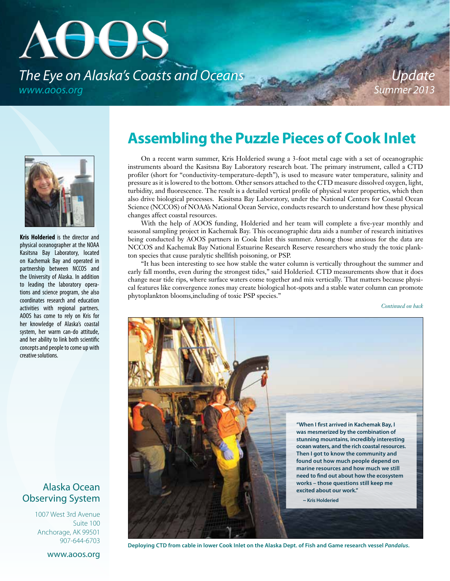# **AUUS** *The Eye on Alaska's Coasts and Oceans www.aoos.org*

*Update Summer 2013*



**Kris Holderied** is the director and physical oceanographer at the NOAA Kasitsna Bay Laboratory, located on Kachemak Bay and operated in partnership between NCCOS and the University of Alaska. In addition to leading the laboratory operations and science program, she also coordinates research and education activities with regional partners. AOOS has come to rely on Kris for her knowledge of Alaska's coastal system, her warm can-do attitude, and her ability to link both scientific concepts and people to come up with creative solutions.

#### Alaska Ocean Observing System

1007 West 3rd Avenue Suite 100 Anchorage, AK 99501 907-644-6703

#### www.aoos.org

## **Assembling the Puzzle Pieces of Cook Inlet**

On a recent warm summer, Kris Holderied swung a 3-foot metal cage with a set of oceanographic instruments aboard the Kasitsna Bay Laboratory research boat. The primary instrument, called a CTD profiler (short for "conductivity-temperature-depth"), is used to measure water temperature, salinity and pressure as it is lowered to the bottom. Other sensors attached to the CTD measure dissolved oxygen, light, turbidity, and fluorescence. The result is a detailed vertical profile of physical water properties, which then also drive biological processes. Kasitsna Bay Laboratory, under the National Centers for Coastal Ocean Science (NCCOS) of NOAA's National Ocean Service, conducts research to understand how these physical changes affect coastal resources.

With the help of AOOS funding, Holderied and her team will complete a five-year monthly and seasonal sampling project in Kachemak Bay. This oceanographic data aids a number of research initiatives being conducted by AOOS partners in Cook Inlet this summer. Among those anxious for the data are NCCOS and Kachemak Bay National Estuarine Research Reserve researchers who study the toxic plankton species that cause paralytic shellfish poisoning, or PSP.

"It has been interesting to see how stable the water column is vertically throughout the summer and early fall months, even during the strongest tides," said Holderied. CTD measurements show that it does change near tide rips, where surface waters come together and mix vertically. That matters because physical features like convergence zones may create biological hot-spots and a stable water column can promote phytoplankton blooms,including of toxic PSP species."

*Continued on back*



**Deploying CTD from cable in lower Cook Inlet on the Alaska Dept. of Fish and Game research vessel** *Pandalus***.**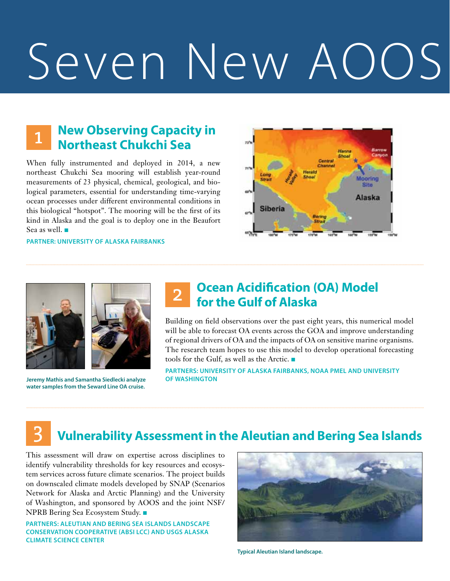# Seven New AOO

#### **New Observing Capacity in Northeast Chukchi Sea**  1

When fully instrumented and deployed in 2014, a new northeast Chukchi Sea mooring will establish year-round measurements of 23 physical, chemical, geological, and biological parameters, essential for understanding time-varying ocean processes under different environmental conditions in this biological "hotspot". The mooring will be the first of its kind in Alaska and the goal is to deploy one in the Beaufort Sea as well.

**Partner: University of Alaska Fairbanks**





**Jeremy Mathis and Samantha Siedlecki analyze water samples from the Seward Line OA cruise.**

### **Ocean Acidification (OA) Model for the Gulf of Alaska**

Building on field observations over the past eight years, this numerical model will be able to forecast OA events across the GOA and improve understanding of regional drivers of OA and the impacts of OA on sensitive marine organisms. The research team hopes to use this model to develop operational forecasting tools for the Gulf, as well as the Arctic.

**Partners: University of Alaska Fairbanks, NOAA PMEL and University of Washington**

#### 3 **Vulnerability Assessment in the Aleutian and Bering Sea Islands**

This assessment will draw on expertise across disciplines to identify vulnerability thresholds for key resources and ecosystem services across future climate scenarios. The project builds on downscaled climate models developed by SNAP (Scenarios Network for Alaska and Arctic Planning) and the University of Washington, and sponsored by AOOS and the joint NSF/ NPRB Bering Sea Ecosystem Study. ■

**Partners: Aleutian and Bering Sea Islands Landscape Conservation Cooperative (ABSI LCC) and USGS Alaska Climate Science Center**



**Typical Aleutian Island landscape.**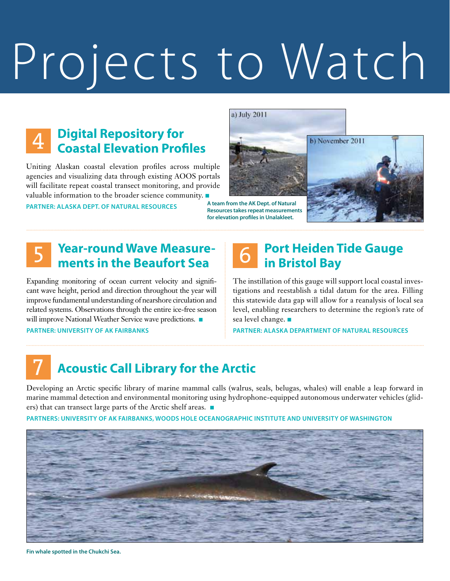# Projects to Watch

#### **Digital Repository for Coastal Elevation Profiles**  4

Uniting Alaskan coastal elevation profiles across multiple agencies and visualizing data through existing AOOS portals will facilitate repeat coastal transect monitoring, and provide valuable information to the broader science community.  $\blacksquare$ 

**Partner: Alaska Dept. of Natural Resources**

a) July 2011



**A team from the AK Dept. of Natural Resources takes repeat measurements for elevation profiles in Unalakleet.**



#### **Year-round Wave Measurements in the Beaufort Sea**  5

Expanding monitoring of ocean current velocity and significant wave height, period and direction throughout the year will improve fundamental understanding of nearshore circulation and related systems. Observations through the entire ice-free season will improve National Weather Service wave predictions. **Partner: University of AK Fairbanks**

#### **Port Heiden Tide Gauge in Bristol Bay**  6

The instillation of this gauge will support local coastal investigations and reestablish a tidal datum for the area. Filling this statewide data gap will allow for a reanalysis of local sea level, enabling researchers to determine the region's rate of sea level change.  $\blacksquare$ 

**Partner: Alaska Department of Natural Resources**

## 7 **Acoustic Call Library for the Arctic**

Developing an Arctic specific library of marine mammal calls (walrus, seals, belugas, whales) will enable a leap forward in marine mammal detection and environmental monitoring using hydrophone-equipped autonomous underwater vehicles (gliders) that can transect large parts of the Arctic shelf areas.

**Partners: University of AK Fairbanks, Woods Hole Oceanographic Institute and University of Washington**



**Fin whale spotted in the Chukchi Sea.**